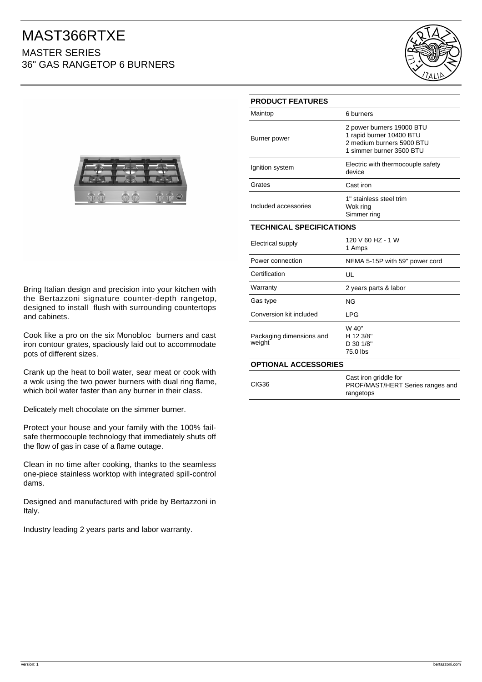## MAST366RTXE MASTER SERIES

36" GAS RANGETOP 6 BURNERS





Bring Italian design and precision into your kitchen with the Bertazzoni signature counter-depth rangetop, designed to install flush with surrounding countertops and cabinets.

Cook like a pro on the six Monobloc burners and cast iron contour grates, spaciously laid out to accommodate pots of different sizes.

Crank up the heat to boil water, sear meat or cook with a wok using the two power burners with dual ring flame, which boil water faster than any burner in their class.

Delicately melt chocolate on the simmer burner.

Protect your house and your family with the 100% failsafe thermocouple technology that immediately shuts off the flow of gas in case of a flame outage.

Clean in no time after cooking, thanks to the seamless one-piece stainless worktop with integrated spill-control dams.

Designed and manufactured with pride by Bertazzoni in Italy.

Industry leading 2 years parts and labor warranty.

| <b>PRODUCT FEATURES</b>            |                                                                                                                |
|------------------------------------|----------------------------------------------------------------------------------------------------------------|
| Maintop                            | 6 burners                                                                                                      |
| Burner power                       | 2 power burners 19000 BTU<br>1 rapid burner 10400 BTU<br>2 medium burners 5900 BTU<br>1 simmer burner 3500 BTU |
| Ignition system                    | Electric with thermocouple safety<br>device                                                                    |
| Grates                             | Cast iron                                                                                                      |
| Included accessories               | 1" stainless steel trim<br>Wok ring<br>Simmer ring                                                             |
| <b>TECHNICAL SPECIFICATIONS</b>    |                                                                                                                |
| Electrical supply                  | 120 V 60 HZ - 1 W<br>1 Amps                                                                                    |
| Power connection                   | NEMA 5-15P with 59" power cord                                                                                 |
| Certification                      | UL                                                                                                             |
| Warranty                           | 2 years parts & labor                                                                                          |
| Gas type                           | NG                                                                                                             |
| Conversion kit included            | <b>LPG</b>                                                                                                     |
| Packaging dimensions and<br>weight | W 40"<br>H 12 3/8"<br>D 30 1/8"<br>75.0 lbs                                                                    |
| <b>OPTIONAL ACCESSORIES</b>        |                                                                                                                |
| CIG <sub>36</sub>                  | Cast iron griddle for<br>PROF/MAST/HERT Series ranges and<br>rangetops                                         |